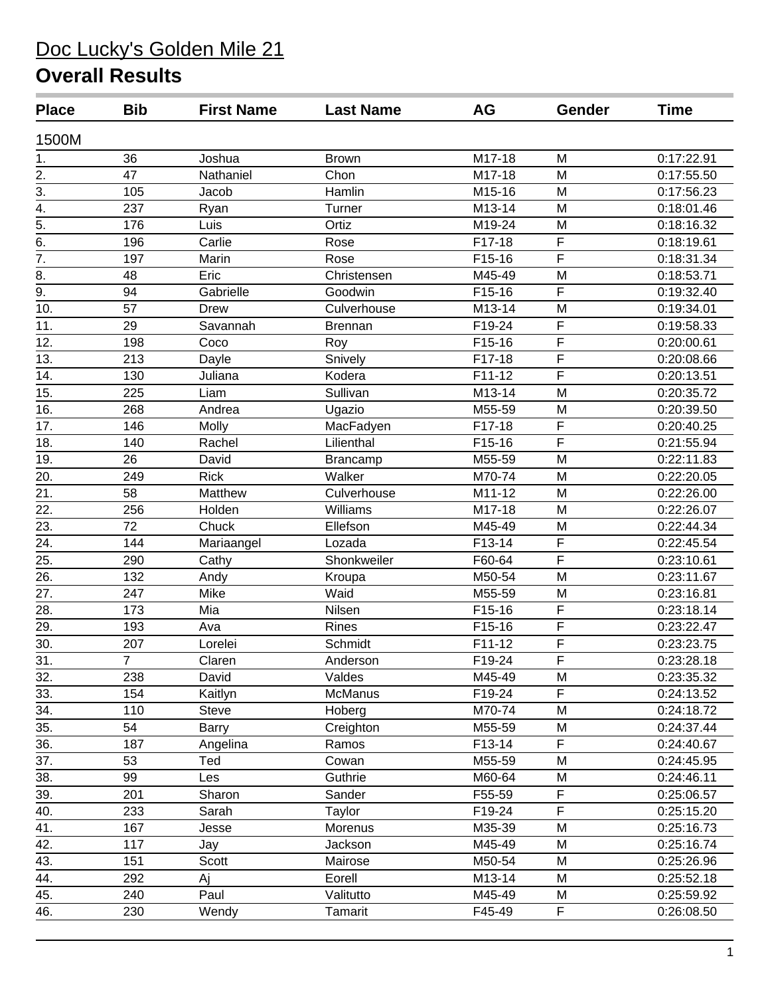| <b>Place</b>      | <b>Bib</b>     | <b>First Name</b> | <b>Last Name</b> | AG       | Gender                  | <b>Time</b> |
|-------------------|----------------|-------------------|------------------|----------|-------------------------|-------------|
| 1500M             |                |                   |                  |          |                         |             |
| 1.                | 36             | Joshua            | <b>Brown</b>     | M17-18   | M                       | 0:17:22.91  |
|                   | 47             | Nathaniel         | Chon             | M17-18   | M                       | 0:17:55.50  |
| $\frac{2}{3}$     | 105            | Jacob             | Hamlin           | M15-16   | M                       | 0:17:56.23  |
| $\frac{4}{5}$     | 237            | Ryan              | Turner           | M13-14   | M                       | 0:18:01.46  |
|                   | 176            | Luis              | Ortiz            | M19-24   | M                       | 0:18:16.32  |
| $\frac{1}{6}$     | 196            | Carlie            | Rose             | F17-18   | $\overline{F}$          | 0:18:19.61  |
| $\overline{7}$ .  | 197            | Marin             | Rose             | F15-16   | F                       | 0:18:31.34  |
| 8.                | 48             | Eric              | Christensen      | M45-49   | M                       | 0:18:53.71  |
| $\overline{9}$ .  | 94             | Gabrielle         | Goodwin          | F15-16   | F                       | 0:19:32.40  |
| 10.               | 57             | <b>Drew</b>       | Culverhouse      | M13-14   | M                       | 0:19:34.01  |
| 11.               | 29             | Savannah          | <b>Brennan</b>   | F19-24   | $\overline{F}$          | 0:19:58.33  |
| 12.               | 198            | Coco              | Roy              | F15-16   | $\overline{F}$          | 0:20:00.61  |
| 13.               | 213            | Dayle             | Snively          | F17-18   | $\overline{F}$          | 0:20:08.66  |
| 14.               | 130            | Juliana           | Kodera           | $F11-12$ | $\overline{F}$          | 0:20:13.51  |
| 15.               | 225            | Liam              | Sullivan         | M13-14   | M                       | 0:20:35.72  |
| 16.               | 268            | Andrea            | Ugazio           | M55-59   | M                       | 0:20:39.50  |
| 17.               | 146            | Molly             | MacFadyen        | F17-18   | $\overline{\mathsf{F}}$ | 0:20:40.25  |
| 18.               | 140            | Rachel            | Lilienthal       | F15-16   | F                       | 0:21:55.94  |
| 19.               | 26             | David             | Brancamp         | M55-59   | M                       | 0:22:11.83  |
| 20.               | 249            | <b>Rick</b>       | Walker           | M70-74   | M                       | 0:22:20.05  |
| $\overline{21}$ . | 58             | Matthew           | Culverhouse      | M11-12   | M                       | 0:22:26.00  |
| $\overline{22}$ . | 256            | Holden            | Williams         | M17-18   | M                       | 0:22:26.07  |
| 23.               | 72             | Chuck             | Ellefson         | M45-49   | M                       | 0:22:44.34  |
| 24.               | 144            | Mariaangel        | Lozada           | F13-14   | $\overline{\mathsf{F}}$ | 0:22:45.54  |
| 25.               | 290            | Cathy             | Shonkweiler      | F60-64   | $\overline{F}$          | 0:23:10.61  |
| 26.               | 132            | Andy              | Kroupa           | M50-54   | M                       | 0:23:11.67  |
| 27.               | 247            | Mike              | Waid             | M55-59   | M                       | 0:23:16.81  |
| 28.               | 173            | Mia               | Nilsen           | F15-16   | $\overline{F}$          | 0:23:18.14  |
| 29.               | 193            | Ava               | Rines            | F15-16   | $\overline{\mathsf{F}}$ | 0:23:22.47  |
| $\overline{30}$ . | 207            | Lorelei           | Schmidt          | F11-12   | $\overline{F}$          | 0:23:23.75  |
| 31.               | $\overline{7}$ | Claren            | Anderson         | F19-24   | F                       | 0:23:28.18  |
| 32.               | 238            | David             | Valdes           | M45-49   | M                       | 0:23:35.32  |
| 33.               | 154            | Kaitlyn           | McManus          | F19-24   | F                       | 0:24:13.52  |
| 34.               | 110            | <b>Steve</b>      | Hoberg           | M70-74   | M                       | 0:24:18.72  |
| 35.               | 54             | <b>Barry</b>      | Creighton        | M55-59   | M                       | 0:24:37.44  |
| 36.               | 187            | Angelina          | Ramos            | F13-14   | F                       | 0:24:40.67  |
| 37.               | 53             | Ted               | Cowan            | M55-59   | M                       | 0:24:45.95  |
| 38.               | 99             | Les               | Guthrie          | M60-64   | M                       | 0:24:46.11  |
| 39.               | 201            | Sharon            | Sander           | F55-59   | F                       | 0:25:06.57  |
| 40.               | 233            | Sarah             | Taylor           | F19-24   | $\overline{F}$          | 0:25:15.20  |
| 41.               | 167            | Jesse             | Morenus          | M35-39   | M                       | 0:25:16.73  |
| 42.               | 117            | Jay               | Jackson          | M45-49   | M                       | 0:25:16.74  |
| 43.               | 151            | Scott             | Mairose          | M50-54   | M                       | 0:25:26.96  |
| $\overline{44}$ . | 292            | Aj                | Eorell           | M13-14   | M                       | 0:25:52.18  |
| 45.               | 240            | Paul              | Valitutto        | M45-49   | M                       | 0:25:59.92  |
| 46.               | 230            | Wendy             | Tamarit          | F45-49   | F                       | 0:26:08.50  |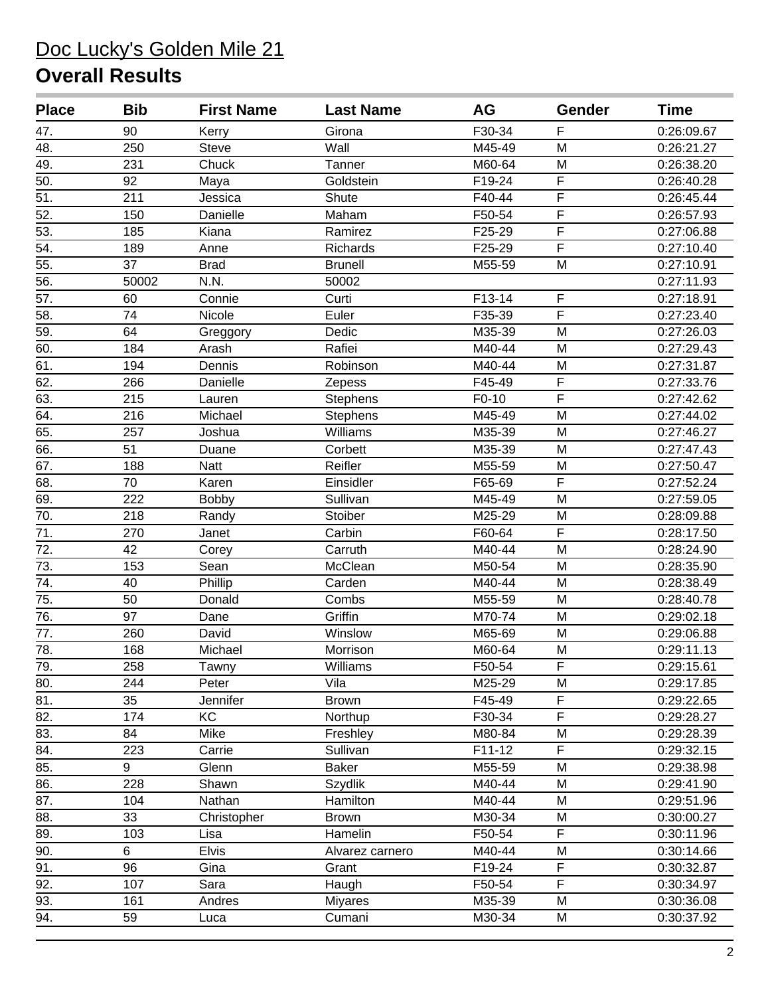| <b>Place</b>      | <b>Bib</b> | <b>First Name</b> | <b>Last Name</b> | AG      | Gender                  | <b>Time</b> |
|-------------------|------------|-------------------|------------------|---------|-------------------------|-------------|
| 47.               | 90         | Kerry             | Girona           | F30-34  | F                       | 0:26:09.67  |
| 48.               | 250        | <b>Steve</b>      | Wall             | M45-49  | M                       | 0:26:21.27  |
| $\overline{49}$ . | 231        | Chuck             | Tanner           | M60-64  | M                       | 0:26:38.20  |
| 50.               | 92         | Maya              | Goldstein        | F19-24  | $\overline{F}$          | 0:26:40.28  |
| $\overline{51}$   | 211        | Jessica           | Shute            | F40-44  | $\overline{F}$          | 0:26:45.44  |
| 52.               | 150        | Danielle          | Maham            | F50-54  | $\overline{F}$          | 0:26:57.93  |
| $\overline{53}$ . | 185        | Kiana             | Ramirez          | F25-29  | $\overline{F}$          | 0:27:06.88  |
| 54.               | 189        | Anne              | Richards         | F25-29  | $\overline{F}$          | 0:27:10.40  |
| 55.               | 37         | <b>Brad</b>       | <b>Brunell</b>   | M55-59  | M                       | 0:27:10.91  |
| 56.               | 50002      | N.N.              | 50002            |         |                         | 0:27:11.93  |
| $\overline{57}$ . | 60         | Connie            | Curti            | F13-14  | $\overline{F}$          | 0:27:18.91  |
| $\overline{58}$ . | 74         | Nicole            | Euler            | F35-39  | $\overline{F}$          | 0:27:23.40  |
| 59.               | 64         | Greggory          | Dedic            | M35-39  | M                       | 0:27:26.03  |
| 60.               | 184        | Arash             | Rafiei           | M40-44  | M                       | 0:27:29.43  |
| 61.               | 194        | Dennis            | Robinson         | M40-44  | M                       | 0:27:31.87  |
| 62.               | 266        | Danielle          | Zepess           | F45-49  | $\overline{\mathsf{F}}$ | 0:27:33.76  |
| 63.               | 215        | Lauren            | <b>Stephens</b>  | $F0-10$ | $\overline{\mathsf{F}}$ | 0:27:42.62  |
| 64.               | 216        | Michael           | Stephens         | M45-49  | M                       | 0:27:44.02  |
| 65.               | 257        | Joshua            | Williams         | M35-39  | M                       | 0:27:46.27  |
| 66.               | 51         | Duane             | Corbett          | M35-39  | M                       | 0:27:47.43  |
| 67.               | 188        | <b>Natt</b>       | Reifler          | M55-59  | M                       | 0:27:50.47  |
| 68.               | 70         | Karen             | Einsidler        | F65-69  | F                       | 0:27:52.24  |
| 69.               | 222        | Bobby             | Sullivan         | M45-49  | M                       | 0:27:59.05  |
| 70.               | 218        | Randy             | Stoiber          | M25-29  | M                       | 0:28:09.88  |
| $\overline{71}$ . | 270        | Janet             | Carbin           | F60-64  | $\overline{F}$          | 0:28:17.50  |
| 72.               | 42         | Corey             | Carruth          | M40-44  | M                       | 0:28:24.90  |
| $\overline{73}$ . | 153        | Sean              | McClean          | M50-54  | M                       | 0:28:35.90  |
| 74.               | 40         | Phillip           | Carden           | M40-44  | M                       | 0:28:38.49  |
| 75.               | 50         | Donald            | Combs            | M55-59  | M                       | 0:28:40.78  |
| 76.               | 97         | Dane              | Griffin          | M70-74  | M                       | 0:29:02.18  |
| 77.               | 260        | David             | Winslow          | M65-69  | M                       | 0:29:06.88  |
| 78.               | 168        | Michael           | Morrison         | M60-64  | M                       | 0:29:11.13  |
| 79.               | 258        | Tawny             | Williams         | F50-54  | $\overline{F}$          | 0:29:15.61  |
| 80.               | 244        | Peter             | Vila             | M25-29  | M                       | 0:29:17.85  |
| 81.               | 35         | Jennifer          | <b>Brown</b>     | F45-49  | F                       | 0:29:22.65  |
| 82.               | 174        | KC                | Northup          | F30-34  | F                       | 0:29:28.27  |
| 83.               | 84         | Mike              | Freshley         | M80-84  | M                       | 0:29:28.39  |
| 84.               | 223        | Carrie            | Sullivan         | F11-12  | F                       | 0:29:32.15  |
| 85.               | 9          | Glenn             | <b>Baker</b>     | M55-59  | M                       | 0:29:38.98  |
| 86.               | 228        | Shawn             | <b>Szydlik</b>   | M40-44  | M                       | 0:29:41.90  |
| 87.               | 104        | Nathan            | Hamilton         | M40-44  | M                       | 0:29:51.96  |
| 88.               | 33         | Christopher       | <b>Brown</b>     | M30-34  | M                       | 0:30:00.27  |
| 89.               | 103        | Lisa              | Hamelin          | F50-54  | $\overline{F}$          | 0:30:11.96  |
| 90.               | 6          | <b>Elvis</b>      | Alvarez carnero  | M40-44  | M                       | 0:30:14.66  |
| 91.               | 96         | Gina              | Grant            | F19-24  | F                       | 0:30:32.87  |
| 92.               | 107        | Sara              | Haugh            | F50-54  | F                       | 0:30:34.97  |
| 93.               | 161        | Andres            | <b>Miyares</b>   | M35-39  | M                       | 0:30:36.08  |
| 94.               | 59         | Luca              | Cumani           | M30-34  | M                       | 0:30:37.92  |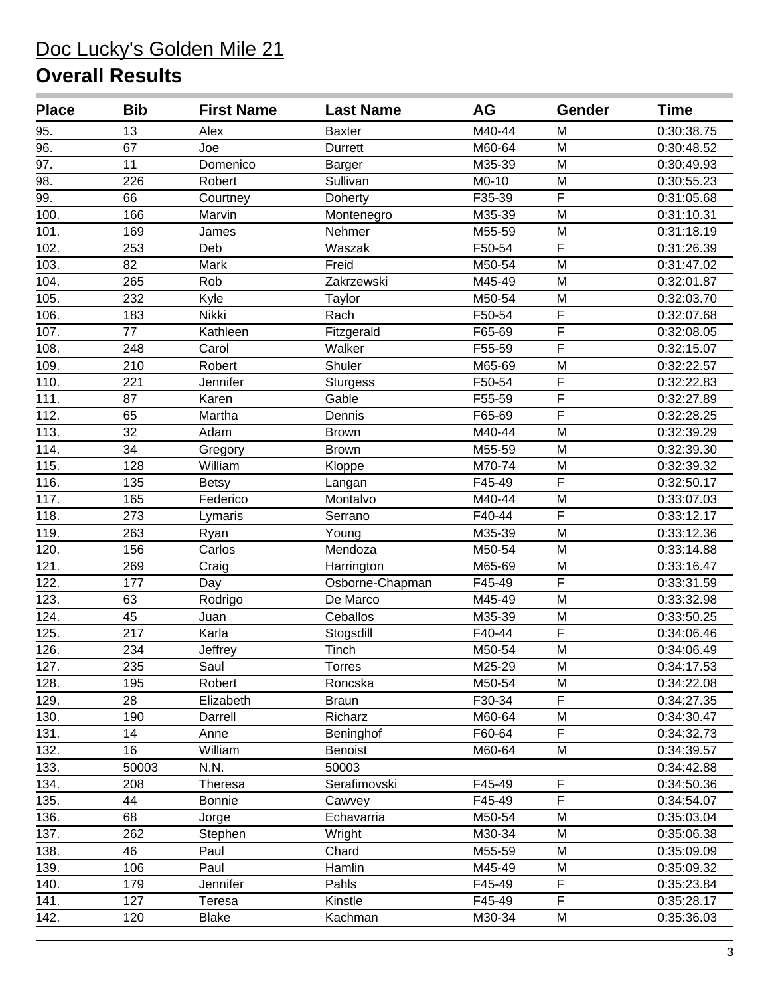| <b>Place</b>      | <b>Bib</b> | <b>First Name</b> | <b>Last Name</b> | <b>AG</b> | Gender                  | <b>Time</b> |
|-------------------|------------|-------------------|------------------|-----------|-------------------------|-------------|
| 95.               | 13         | Alex              | <b>Baxter</b>    | M40-44    | M                       | 0:30:38.75  |
| $\overline{96}$ . | 67         | Joe               | <b>Durrett</b>   | M60-64    | M                       | 0:30:48.52  |
| $\overline{97}$ . | 11         | Domenico          | <b>Barger</b>    | M35-39    | M                       | 0:30:49.93  |
| 98.               | 226        | Robert            | Sullivan         | M0-10     | M                       | 0:30:55.23  |
| 99.               | 66         | Courtney          | Doherty          | F35-39    | $\overline{F}$          | 0:31:05.68  |
| 100.              | 166        | Marvin            | Montenegro       | M35-39    | M                       | 0:31:10.31  |
| 101.              | 169        | James             | Nehmer           | M55-59    | M                       | 0:31:18.19  |
| 102.              | 253        | Deb               | Waszak           | F50-54    | $\overline{F}$          | 0:31:26.39  |
| 103.              | 82         | Mark              | Freid            | M50-54    | M                       | 0:31:47.02  |
| 104.              | 265        | Rob               | Zakrzewski       | M45-49    | M                       | 0:32:01.87  |
| 105.              | 232        | Kyle              | Taylor           | M50-54    | M                       | 0:32:03.70  |
| 106.              | 183        | Nikki             | Rach             | F50-54    | $\overline{F}$          | 0:32:07.68  |
| 107.              | 77         | Kathleen          | Fitzgerald       | F65-69    | $\overline{\mathsf{F}}$ | 0:32:08.05  |
| 108.              | 248        | Carol             | Walker           | F55-59    | $\overline{F}$          | 0:32:15.07  |
| 109.              | 210        | Robert            | Shuler           | M65-69    | M                       | 0:32:22.57  |
| 110.              | 221        | Jennifer          | <b>Sturgess</b>  | F50-54    | $\overline{F}$          | 0:32:22.83  |
| 111.              | 87         | Karen             | Gable            | F55-59    | $\overline{\mathsf{F}}$ | 0:32:27.89  |
| 112.              | 65         | Martha            | Dennis           | F65-69    | $\overline{\mathsf{F}}$ | 0:32:28.25  |
| 113.              | 32         | Adam              | <b>Brown</b>     | M40-44    | M                       | 0:32:39.29  |
| 114.              | 34         | Gregory           | <b>Brown</b>     | M55-59    | M                       | 0:32:39.30  |
| 115.              | 128        | William           | Kloppe           | M70-74    | M                       | 0:32:39.32  |
| 116.              | 135        | <b>Betsy</b>      | Langan           | F45-49    | F                       | 0:32:50.17  |
| 117.              | 165        | Federico          | Montalvo         | M40-44    | M                       | 0:33:07.03  |
| 118.              | 273        | Lymaris           | Serrano          | F40-44    | F                       | 0:33:12.17  |
| 119.              | 263        | Ryan              | Young            | M35-39    | M                       | 0:33:12.36  |
| 120.              | 156        | Carlos            | Mendoza          | M50-54    | M                       | 0:33:14.88  |
| 121.              | 269        | Craig             | Harrington       | M65-69    | M                       | 0:33:16.47  |
| 122.              | 177        | Day               | Osborne-Chapman  | F45-49    | $\overline{\mathsf{F}}$ | 0:33:31.59  |
| 123.              | 63         | Rodrigo           | De Marco         | M45-49    | M                       | 0:33:32.98  |
| 124.              | 45         | Juan              | Ceballos         | M35-39    | M                       | 0:33:50.25  |
| 125.              | 217        | Karla             | Stogsdill        | F40-44    | $\overline{F}$          | 0:34:06.46  |
| 126.              | 234        | Jeffrey           | Tinch            | M50-54    | M                       | 0:34:06.49  |
| 127.              | 235        | Saul              | <b>Torres</b>    | M25-29    | M                       | 0:34:17.53  |
| 128.              | 195        | Robert            | Roncska          | M50-54    | M                       | 0:34:22.08  |
| 129.              | 28         | Elizabeth         | <b>Braun</b>     | F30-34    | F                       | 0:34:27.35  |
| 130.              | 190        | Darrell           | Richarz          | M60-64    | M                       | 0:34:30.47  |
| 131.              | 14         | Anne              | Beninghof        | F60-64    | F                       | 0:34:32.73  |
| 132.              | 16         | William           | Benoist          | M60-64    | M                       | 0:34:39.57  |
| 133.              | 50003      | N.N.              | 50003            |           |                         | 0:34:42.88  |
| 134.              | 208        | Theresa           | Serafimovski     | F45-49    | $\mathsf F$             | 0:34:50.36  |
| 135.              | 44         | <b>Bonnie</b>     | Cawvey           | F45-49    | F                       | 0:34:54.07  |
| 136.              | 68         | Jorge             | Echavarria       | M50-54    | M                       | 0:35:03.04  |
| 137.              | 262        | Stephen           | Wright           | M30-34    | M                       | 0:35:06.38  |
| 138.              | 46         | Paul              | Chard            | M55-59    | M                       | 0:35:09.09  |
| 139.              | 106        | Paul              | Hamlin           | M45-49    | M                       | 0:35:09.32  |
| 140.              | 179        | Jennifer          | Pahls            | F45-49    | F                       | 0:35:23.84  |
| 141.              | 127        | Teresa            | Kinstle          | F45-49    | F                       | 0:35:28.17  |
| 142.              | 120        | <b>Blake</b>      | Kachman          | M30-34    | M                       | 0:35:36.03  |
|                   |            |                   |                  |           |                         |             |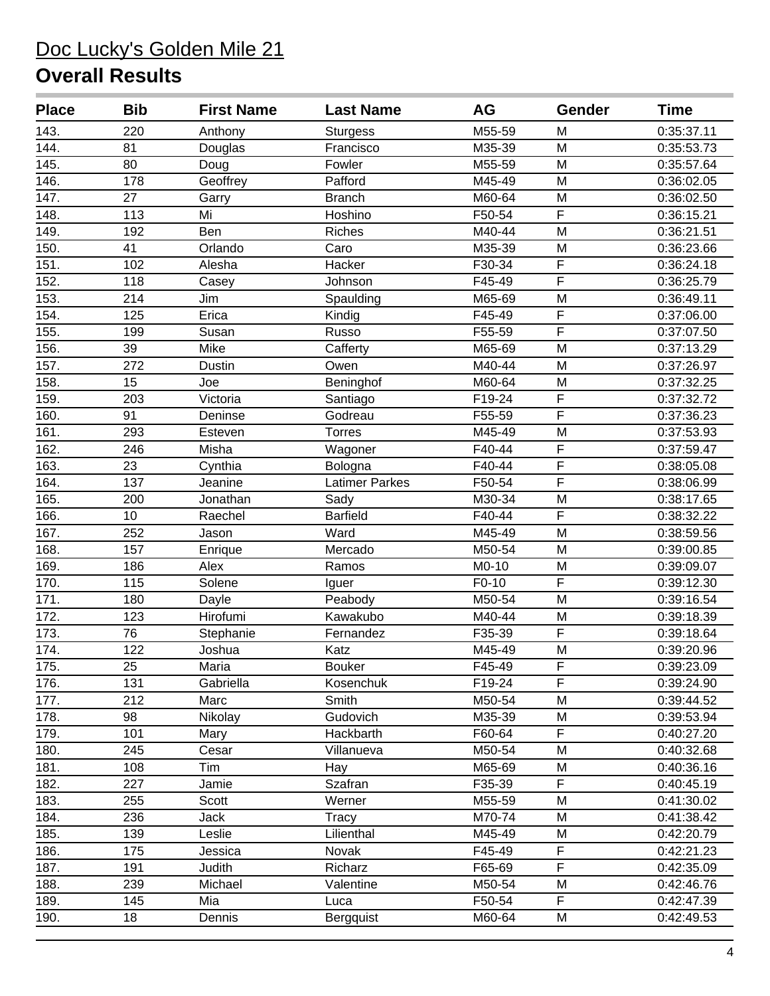| <b>Place</b>       | <b>Bib</b>      | <b>First Name</b> | <b>Last Name</b>      | <b>AG</b> | Gender                  | <b>Time</b> |
|--------------------|-----------------|-------------------|-----------------------|-----------|-------------------------|-------------|
| 143.               | 220             | Anthony           | <b>Sturgess</b>       | M55-59    | M                       | 0:35:37.11  |
| 144.               | 81              | Douglas           | Francisco             | M35-39    | M                       | 0:35:53.73  |
| 145.               | 80              | Doug              | Fowler                | M55-59    | M                       | 0:35:57.64  |
| 146.               | 178             | Geoffrey          | Pafford               | M45-49    | M                       | 0:36:02.05  |
| 147.               | 27              | Garry             | <b>Branch</b>         | M60-64    | M                       | 0:36:02.50  |
| 148.               | 113             | Mi                | Hoshino               | F50-54    | $\overline{F}$          | 0:36:15.21  |
| 149.               | 192             | <b>Ben</b>        | Riches                | M40-44    | M                       | 0:36:21.51  |
| 150.               | 41              | Orlando           | Caro                  | M35-39    | M                       | 0:36:23.66  |
| 151.               | 102             | Alesha            | Hacker                | F30-34    | $\overline{F}$          | 0:36:24.18  |
| 152.               | 118             | Casey             | Johnson               | F45-49    | F                       | 0:36:25.79  |
| 153.               | 214             | Jim               | Spaulding             | M65-69    | M                       | 0:36:49.11  |
| 154.               | 125             | Erica             | Kindig                | F45-49    | F                       | 0:37:06.00  |
| 155.               | 199             | Susan             | Russo                 | F55-59    | $\overline{\mathsf{F}}$ | 0:37:07.50  |
| 156.               | 39              | Mike              | Cafferty              | M65-69    | M                       | 0:37:13.29  |
| 157.               | 272             | <b>Dustin</b>     | Owen                  | M40-44    | M                       | 0:37:26.97  |
| 158.               | 15              | Joe               | Beninghof             | M60-64    | M                       | 0:37:32.25  |
| 159.               | 203             | Victoria          | Santiago              | F19-24    | F                       | 0:37:32.72  |
| 160.               | 91              | Deninse           | Godreau               | F55-59    | F                       | 0:37:36.23  |
| 161.               | 293             | Esteven           | <b>Torres</b>         | M45-49    | M                       | 0:37:53.93  |
| 162.               | 246             | Misha             | Wagoner               | F40-44    | $\overline{\mathsf{F}}$ | 0:37:59.47  |
| 163.               | 23              | Cynthia           | Bologna               | F40-44    | $\overline{\mathsf{F}}$ | 0:38:05.08  |
| 164.               | 137             | Jeanine           | <b>Latimer Parkes</b> | F50-54    | $\overline{F}$          | 0:38:06.99  |
| 165.               | 200             | Jonathan          | Sady                  | M30-34    | M                       | 0:38:17.65  |
| 166.               | 10              | Raechel           | <b>Barfield</b>       | F40-44    | F                       | 0:38:32.22  |
| 167.               | 252             | Jason             | Ward                  | M45-49    | M                       | 0:38:59.56  |
| 168.               | 157             | Enrique           | Mercado               | M50-54    | M                       | 0:39:00.85  |
| 169.               | 186             | Alex              | Ramos                 | M0-10     | M                       | 0:39:09.07  |
| 170.               | 115             | Solene            | Iguer                 | F0-10     | F                       | 0:39:12.30  |
| $\overline{171}$ . | 180             | Dayle             | Peabody               | M50-54    | M                       | 0:39:16.54  |
| 172.               | 123             | Hirofumi          | Kawakubo              | M40-44    | M                       | 0:39:18.39  |
| 173.               | 76              | Stephanie         | Fernandez             | F35-39    | F                       | 0:39:18.64  |
| 174.               | 122             | Joshua            | Katz                  | M45-49    | M                       | 0:39:20.96  |
| 175.               | $\overline{25}$ | Maria             | Bouker                | F45-49    | $\overline{F}$          | 0:39:23.09  |
| 176.               | 131             | Gabriella         | Kosenchuk             | F19-24    | $\overline{\mathsf{F}}$ | 0:39:24.90  |
| 177.               | 212             | Marc              | Smith                 | M50-54    | M                       | 0:39:44.52  |
| 178.               | 98              | Nikolay           | Gudovich              | M35-39    | M                       | 0:39:53.94  |
| 179.               | 101             | Mary              | Hackbarth             | F60-64    | F                       | 0:40:27.20  |
| 180.               | 245             | Cesar             | Villanueva            | M50-54    | M                       | 0:40:32.68  |
| 181.               | 108             | Tim               | Hay                   | M65-69    | M                       | 0:40:36.16  |
| 182.               | 227             | Jamie             | Szafran               | F35-39    | F                       | 0:40:45.19  |
| 183.               | 255             | Scott             | Werner                | M55-59    | M                       | 0:41:30.02  |
| 184.               | 236             | Jack              | <b>Tracy</b>          | M70-74    | M                       | 0:41:38.42  |
| 185.               | 139             | Leslie            | Lilienthal            | M45-49    | M                       | 0:42:20.79  |
| 186.               | 175             | Jessica           | Novak                 | F45-49    | F                       | 0:42:21.23  |
| 187.               | 191             | Judith            | Richarz               | F65-69    | F                       | 0:42:35.09  |
| 188.               | 239             | Michael           | Valentine             | M50-54    | M                       | 0:42:46.76  |
| 189.               | 145             | Mia               | Luca                  | F50-54    | F                       | 0:42:47.39  |
| 190.               | 18              | Dennis            | Bergquist             | M60-64    | M                       | 0:42:49.53  |
|                    |                 |                   |                       |           |                         |             |